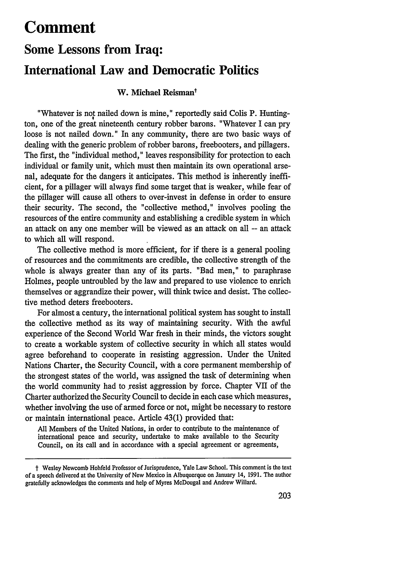## **Comment**

# **Some Lessons from Iraq: International Law and Democratic Politics**

## **W. Michael Reismant**

"Whatever is not nailed down is mine," reportedly said Colis P. Huntington, one of the great nineteenth century robber barons. "Whatever I can pry loose is not nailed down." In any community, there are two basic ways of dealing with the generic problem of robber barons, freebooters, and pillagers. The first, the "individual method," leaves responsibility for protection to each individual or family unit, which must then maintain its own operational arsenal, adequate for the dangers it anticipates. This method is inherently inefficient, for a pillager will always find some target that is weaker, while fear of the pillager will cause all others to over-invest in defense in order to ensure their security. The second, the "collective method," involves pooling the resources of the entire community and establishing a credible system in which an attack on any one member will be viewed as an attack on all -- an attack to which all will respond.

The collective method is more efficient, for if there is a general pooling of resources and the commitments are credible, the collective strength of the whole is always greater than any of its parts. "Bad men," to paraphrase Holmes, people untroubled by the law and prepared to use violence to enrich themselves or aggrandize their power, will think twice and desist. The collective method deters freebooters.

For almost a century, the international political system has sought to install the collective method as its way of maintaining security. With the awful experience of the Second World War fresh in their minds, the victors sought to create a workable system of collective security in which all states would agree beforehand to cooperate in resisting aggression. Under the United Nations Charter, the Security Council, with a core permanent membership of the strongest states of the world, was assigned the task of determining when the world community had to resist aggression by force. Chapter VII of the Charter authorized the Security Council to decide in each case which measures, whether involving the use of armed force or not, might be necessary to restore or maintain international peace. Article 43(1) provided that:

All Members of the United Nations, in order to contribute to the maintenance of international peace and security, undertake to make available to the Security Council, on its call and in accordance with a special agreement or agreements,

t Wesley Newcomb Hohfeld Professor of Jurisprudence, Yale Law School. This comment is the text of a speech delivered at the University of New Mexico in Albuquerque on January 14, 1991. The author gratefully acknowledges the comments and help of Myres McDougal and Andrew Willard.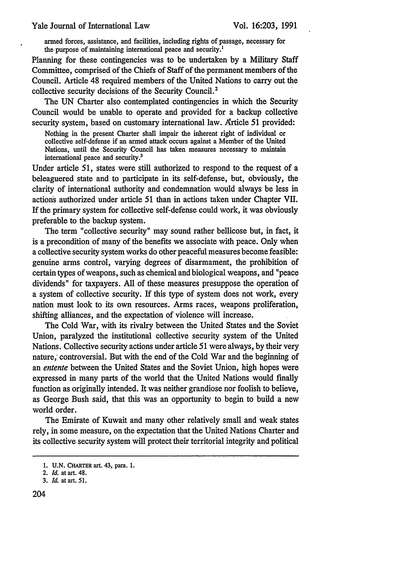armed forces, assistance, and facilities, including rights of passage, necessary for the purpose of maintaining international peace and security.<sup>1</sup>

Planning for these contingencies was to be undertaken by a Military Staff Committee, comprised of the Chiefs of Staff of the permanent members of the Council. Article 48 required members of the United Nations to carry out the collective security decisions of the Security Council.<sup>2</sup>

The UN Charter also contemplated contingencies in which the Security Council would be unable to operate and provided for a backup collective security system, based on customary international law. Article 51 provided:

Nothing in the present Charter shall impair the inherent right of individual or collective self-defense if an armed attack occurs against a Member of the United Nations, until the Security Council has taken measures necessary to maintain international peace and security.3

Under article 51, states were still authorized to respond to the request of a beleaguered state and to participate in its self-defense, but, obviously, the clarity of international authority and condemnation would always be less in actions authorized under article 51 than in actions taken under Chapter VII. If the primary system for collective self-defense could work, it was obviously preferable to the backup system.

The term "collective security" may sound rather bellicose but, in fact, it is a precondition of many of the benefits we associate with peace. Only when a collective security system works do other peaceful measures become feasible: genuine arms control, varying degrees of disarmament, the prohibition of certain types of weapons, such as chemical and biological weapons, and "peace dividends" for taxpayers. All of these measures presuppose the operation of a system of collective security. If this type of system does not work, every nation must look to its own resources. Arms races, weapons proliferation, shifting alliances, and the expectation of violence will increase.

The Cold War, with its rivalry between the United States and the Soviet Union, paralyzed the institutional collective security system of the United Nations. Collective security actions under article 51 were always, by their very nature; controversial. But with the end of the Cold War and the beginning of an *entente* between the United States and the Soviet Union, high hopes were expressed in many parts of the world that the United Nations would finally function as originally intended. It was neither grandiose nor foolish to believe, as George Bush said, that this was an opportunity to begin to build a new world order.

The Emirate of Kuwait and many other relatively small and weak states rely, in some measure, on the expectation that the United Nations Charter and its collective security system will protect their territorial integrity and political

**<sup>1.</sup> U.N.** CHARTER art. 43, para. 1.

<sup>2.</sup> *Id.* at art. 48.

<sup>3.</sup> *Id.* at art. 51.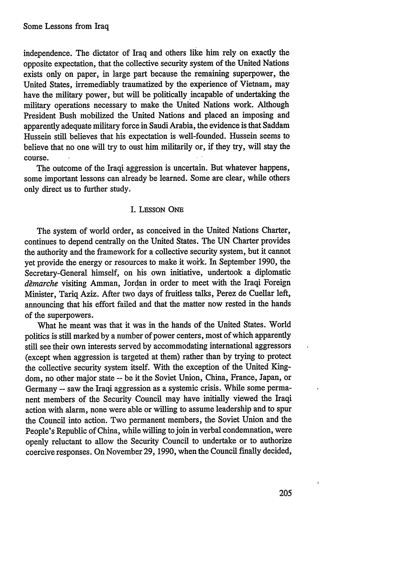independence. The dictator of Iraq and others like him rely on exactly the opposite expectation, that the collective security system of the United Nations exists only on paper, in large part because the remaining superpower, the United States, irremediably traumatized by the experience of Vietnam, may have the military power, but will be politically incapable of undertaking the military operations necessary to make the United Nations work. Although President Bush mobilized the United Nations and placed an imposing and apparently adequate military force in Saudi Arabia, the evidence is that Saddam Hussein still believes that his expectation is well-founded. Hussein seems to believe that no one will try to oust him militarily or, if they try, will stay the course.

The outcome of the Iraqi aggression is uncertain. But whatever happens, some important lessons can already be learned. Some are clear, while others only direct us to further study.

#### I. LESSON **ONE**

The system of world order, as conceived in the United Nations Charter, continues to depend centrally on the United States. The UN Charter provides the authority and the framework for a collective security system, but it cannot yet provide the energy or resources to make it woik. In September 1990, the Secretary-General himself, on his own initiative, undertook a diplomatic dèmarche visiting Amman, Jordan in order to meet with the Iraqi Foreign Minister, Tariq Aziz. After two days of fruitless talks, Perez de Cuellar left, announcing that his effort failed and that the matter now rested in the hands of the superpowers.

What he meant was that it was in the hands of the United States. World politics is still marked by a number of power centers, most of which apparently still see their own interests served by accommodating international aggressors (except when aggression is targeted at them) rather than by trying to protect the collective security system itself. With the exception of the United Kingdom, no other major state **--** be it the Soviet Union, China, France, Japan, or Germany -- saw the Iraqi aggression as a systemic crisis. While some permanent members of the Security Council may have initially viewed the Iraqi action with alarm, none were able or willing to assume leadership and to spur the Council into action. Two permanent members, the Soviet Union and the People's Republic of China, while willing to join in verbal condemnation, were openly reluctant to allow the Security Council to undertake or to authorize coercive responses. On November 29, 1990, when the Council finally decided,

 $\Lambda$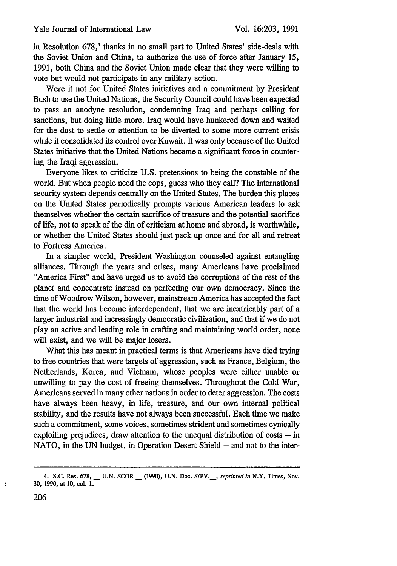in Resolution 678,<sup>4</sup> thanks in no small part to United States' side-deals with the Soviet Union and China, to authorize the use of force after January 15, 1991, both China and the Soviet Union made clear that they were willing to vote but would not participate in any military action.

Were it not for United States initiatives and a commitment by President Bush to use the United Nations, the Security Council could have been expected to pass an anodyne resolution, condemning Iraq and perhaps calling for sanctions, but doing little more. Iraq would have hunkered down and waited for the dust to settle or attention to be diverted to some more current crisis while it consolidated its control over Kuwait. It was only because of the United States initiative that the United Nations became a significant force in countering the Iraqi aggression.

Everyone likes to criticize U.S. pretensions to being the constable of the world. But when people need the cops, guess who they call? The international security system depends centrally on the United States. The burden this places on the United States periodically prompts various American leaders to ask themselves whether the certain sacrifice of treasure and the potential sacrifice of life, not to speak of the din of criticism at home and abroad, is worthwhile, or whether the United States should just pack up once and for all and retreat to Fortress America.

In a simpler world, President Washington counseled against entangling alliances. Through the years and crises, many Americans have proclaimed "America First" and have urged us to avoid the corruptions of the rest of the planet and concentrate instead on perfecting our own democracy. Since the time of Woodrow Wilson, however, mainstream America has accepted the fact that the world has become interdependent, that we are inextricably part of a larger industrial and increasingly democratic civilization, and that if we do not play an active and leading role in crafting and maintaining world order, none will exist, and we will be major losers.

What this has meant in practical terms is that Americans have died trying to free countries that were targets of aggression, such as France, Belgium, the Netherlands, Korea, and Vietnam, whose peoples were either unable or unwilling to pay the cost of freeing themselves. Throughout the Cold War, Americans served in many other nations in order to deter aggression. The costs have always been heavy, in life, treasure, and our own internal political stability, and the results have not always been successful. Each time we make such a commitment, some voices, sometimes strident and sometimes cynically exploiting prejudices, draw attention to the unequal distribution of costs -- in NATO, in the UN budget, in Operation Desert Shield -- and not to the inter-

ß

<sup>4.</sup> S.C. Res. 678, **-** U.N. SCOR \_\_ (1990), U.N. Doc. S/PV.\_, *reprinted in* N.Y. Times, Nov. 30, 1990, at 10, col. 1.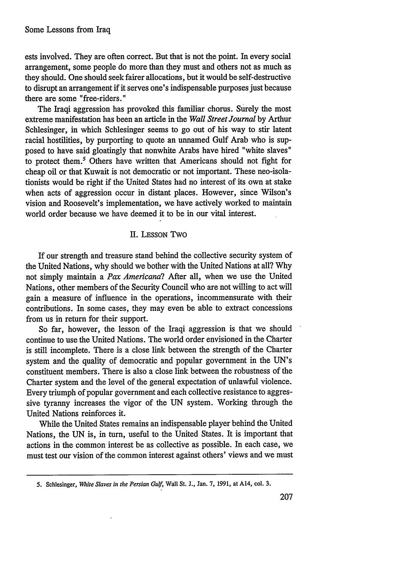ests involved. They are often correct. But that is not the point. In every social arrangement, some people do more than they must and others not as much as they should. One should seek fairer allocations, but it would be self-destructive to disrupt an arrangement if it serves one's indispensable purposes just because there are some "free-riders."

The Iraqi aggression has provoked this familiar chorus. Surely the most extreme manifestation has been an article in the *Wall Street Journal* by Arthur Schlesinger, in which Schlesinger seems to go out of his way to stir latent racial hostilities, by purporting to quote an unnamed Gulf Arab who is supposed to have said gloatingly that nonwhite Arabs have hired "white slaves" to protect them.' Others have written that Americans should not fight for cheap oil or that Kuwait is not democratic or not important. These neo-isolationists would be right if the United States had no interest of its own at stake when acts of aggression occur in distant places. However, since Wilson's vision and Roosevelt's implementation, we have actively worked to maintain world order because we have deemed it to be in our vital interest.

## II. LESSON Two

If our strength and treasure stand behind the collective security system of the United Nations, why should we bother with the United Nations at all? Why not simply maintain a *Pax Americana?* After all, when we use the United Nations, other members of the Security Council who are not willing to act will gain a measure of influence in the operations, incommensurate with their contributions. In some cases, they may even be able to extract concessions from us in return for their support.

So far, however, the lesson of the Iraqi aggression is that we should continue to use the United Nations. The world order envisioned in the Charter is still incomplete. There is a close link between the strength of the Charter system and the quality of democratic and popular government in the UN's constituent members. There is also a close link between the robustness of the Charter system and the level of the general expectation of unlawful violence. Every triumph of popular government and each collective resistance to aggressive tyranny increases the vigor of the UN system. Working through the United Nations reinforces it.

While the United States remains an indispensable player behind the United Nations, the UN is, in turn, useful to the United States. It is important that actions in the common interest be as collective as possible. In each case, we must test our vision of the common interest against others' views and we must

**<sup>5.</sup>** Schlesinger, *White Slaves in the Persian Gulf,* Wall St. **J.,** Jan. **7,** 1991, at A14, col. **3.**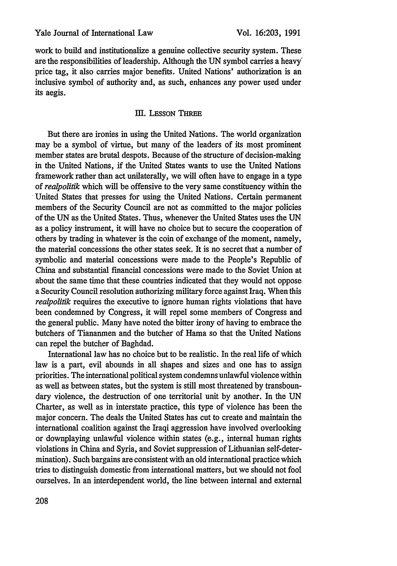work to build and institutionalize a genuine collective security system. These are the responsibilities of leadership. Although the UN symbol carries a heavy' price tag, it also carries major benefits. United Nations' authorization is an inclusive symbol of authority and, as such, enhances any power used under its aegis.

## III. LESSON TIREE

But there are ironies in using the United Nations. The world organization may be a symbol of virtue, but many of the leaders of its most prominent member states are brutal despots. Because of the structure of decision-making in the United Nations, if the United States wants to use the United Nations framework rather than act unilaterally, we will often have to engage in a type *of realpolitik* which will be offensive to the very same constituency within the United States that presses for using the United Nations. Certain permanent members of the Security Council are not as committed to the major policies of the UN as the United States. Thus, whenever the United States uses the UN as a policy instrument, it will have no choice but to secure the cooperation of others by trading in whatever is the coin of exchange of the moment, namely, the material concessions the other states seek. It is no secret that a number of symbolic and material concessions were made to the People's Republic of China and substantial financial concessions were made to the Soviet Union at about the same time that these countries indicated that they would not oppose a Security Council resolution authorizing military force against Iraq. When this *realpolitik* requires the executive to ignore human rights violations that have been condemned by Congress, it will repel some members of Congress and the general public. Many have noted the bitter irony of having to embrace the butchers of Tiananmen and the butcher of Hama so that the United Nations can repel the butcher of Baghdad.

International law has no choice but to be realistic. In the real life of which law is a part, evil abounds in all shapes and sizes and one has to assign priorities. The international political system condemns unlawful violence within as well as between states, but the system is still most threatened by transboundary violence, the destruction of one territorial unit by another. In the UN Charter, as well as in interstate practice, this type of violence has been the major concern. The deals the United States has cut to create and maintain the international coalition against the Iraqi aggression have involved overlooking or downplaying unlawful violence within states (e.g., internal human rights violations in China and Syria, and Soviet suppression of Lithuanian self-determination). Such bargains are consistent with an old international practice which tries to distinguish domestic from international matters, but we should not fool ourselves. In an interdependent world, the line between internal and external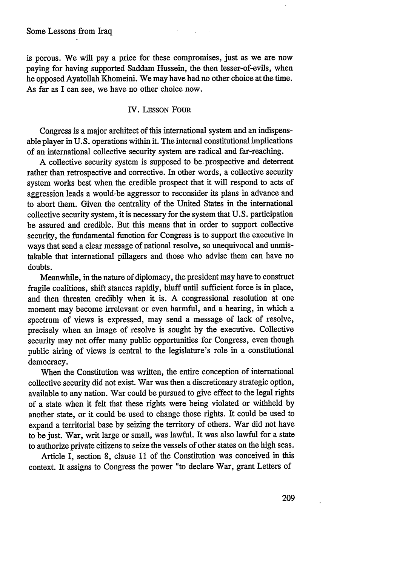is porous. We will pay a price for these compromises, just as we are now paying for having supported Saddam Hussein, the then lesser-of-evils, when he opposed Ayatollah Khomeini. We may have had no other choice at the time. As far as I can see, we have no other choice now.

#### IV. LESSON FOUR

Congress is a major architect of this international system and an indispensable player in U.S. operations within it. The internal constitutional implications of an international collective security system are radical and far-reaching.

A collective security system is supposed to be. prospective and deterrent rather than retrospective and corrective. In other words, a collective security system works best when the credible prospect that it will respond to acts of aggression leads a would-be aggressor to reconsider its plans in advance and to abort them. Given the centrality of the United States in the international collective security system, it is necessary for the system that U.S. participation be assured and credible. But this means that in order to support collective security, the fundamental function for Congress is to support the executive in ways that send a clear message of national resolve, so unequivocal and unmistakable that international pillagers and those who advise them can have no doubts.

Meanwhile, in the nature of diplomacy, the president may have to construct fragile coalitions, shift stances rapidly, bluff until sufficient force is in place, and then threaten credibly when it is. A congressional resolution at one moment may become irrelevant or even harmful, and a hearing, in which a spectrum of views is expressed, may send a message of lack of resolve, precisely when an image of resolve is sought by the executive. Collective security may not offer many public opportunities for Congress, even though public airing of views is central to the legislature's role in a constitutional democracy.

When the Constitution was written, the entire conception of international collective security did not exist. War was then a discretionary strategic option, available to any nation. War could be pursued to give effect to the legal rights of a state when it felt that these rights were being violated or withheld by another state, or it could be used to change those rights. It could be used to expand a territorial base by seizing the territory of others. War did not have to be just. War, writ large or small, was lawful. It was also lawful for a state to authorize private citizens to seize the vessels of other states on the high seas.

Article I, section 8, clause 11 of the Constitution was conceived in this context. It assigns to Congress the power "to declare War, grant Letters of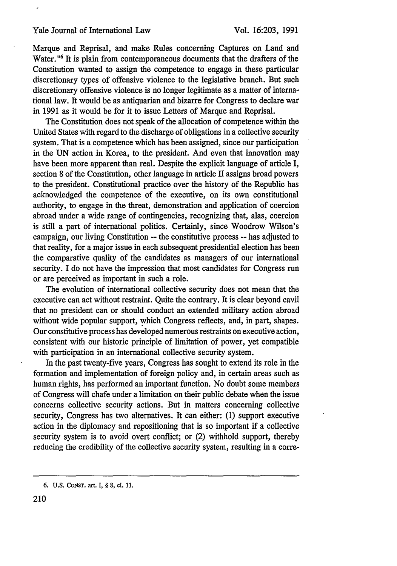#### Yale Journal of International Law

Marque and Reprisal, and make Rules concerning Captures on Land and Water.<sup>"6</sup> It is plain from contemporaneous documents that the drafters of the Constitution wanted to assign the competence to engage in these particular discretionary types of offensive violence to the legislative branch. But such discretionary offensive violence is no longer legitimate as a matter of international law. It would be as antiquarian and bizarre for Congress to declare war in 1991 as it would be for it to issue Letters of Marque and Reprisal.

The Constitution does not speak of the allocation of competence within the United States with regard to the discharge of obligations in a collective security system. That is a competence which has been assigned, since our participation in the UN action in Korea, to the president. And even that innovation may have been more apparent than real. Despite the explicit language of article I, section 8 of the Constitution, other language in article II assigns broad powers to the president. Constitutional practice over the history of the Republic has acknowledged the competence of the executive, on its own constitutional authority, to engage in the threat, demonstration and application of coercion abroad under a wide range of contingencies, recognizing that, alas, coercion is still a part of international politics. Certainly, since Woodrow Wilson's campaign, our living Constitution -- the constitutive process -- has adjusted to that reality, for a major issue in each subsequent presidential election has been the comparative quality of the candidates as managers of our international security. I do not have the impression that most candidates for Congress run or are perceived as important in such a role.

The evolution of international collective security does not mean that the executive can act without restraint. Quite the contrary. It is clear beyond cavil that no president can or should conduct an extended military action abroad without wide popular support, which Congress reflects, and, in part, shapes. Our constitutive process has developed numerous restraints on executive action, consistent with our historic principle of limitation of power, yet compatible with participation in an international collective security system.

In the past twenty-five years, Congress has sought to extend its role in the formation and implementation of foreign policy and, in certain areas such as human rights, has performed an important function. No doubt some members of Congress will chafe under a limitation on their public debate when the issue concerns collective security actions. But in matters concerning collective security, Congress has two alternatives. It can either: (1) support executive action in the diplomacy and repositioning that is so important if a collective security system is to avoid overt conflict; or (2) withhold support, thereby reducing the credibility of the collective security system, resulting in a corre-

**<sup>6.</sup>** U.S. CONST. art. I, § **8, cl. 11.**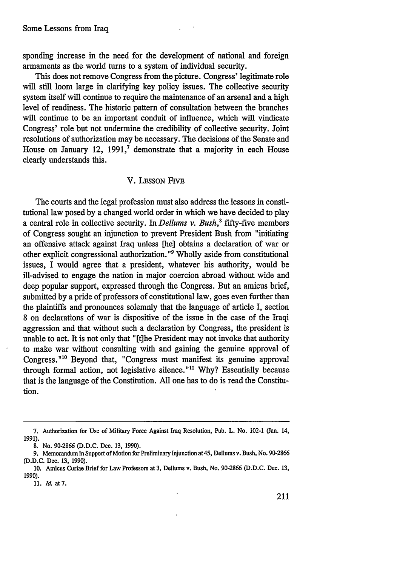sponding increase in the need for the development of national and foreign armaments as the world turns to a system of individual security.

This does not remove Congress from the picture. Congress' legitimate role will still loom large in clarifying key policy issues. The collective security system itself will continue to require the maintenance of an arsenal and a high level of readiness. The historic pattern of consultation between the branches will continue to be an important conduit of influence, which will vindicate Congress' role but not undermine the credibility of collective security. Joint resolutions of authorization may be necessary. The decisions of the Senate and House on January 12, **1991,'** demonstrate that a majority in each House clearly understands this.

#### V. LESSON FIVE

The courts and the legal profession must also address the lessons in constitutional law posed by a changed world order in which we have decided to play a central role in collective security. In *Dellums v. Bush,'* fifty-five members of Congress sought an injunction to prevent President Bush from "initiating an offensive attack against Iraq unless [he] obtains a declaration of war or other explicit congressional authorization."9 Wholly aside from constitutional issues, I would agree that a president, whatever his authority, would be ill-advised to engage the nation in major coercion abroad without wide and deep popular support, expressed through the Congress. But an amicus brief, submitted by a pride of professors of constitutional law, goes even further than the plaintiffs and pronounces solemnly that the language of article I, section 8 on declarations of war is dispositive of the issue in the case of the Iraqi aggression and that without such a declaration by Congress, the president is unable to act. It is not only that "[t]he President may not invoke that authority to make war without consulting with and gaining the genuine approval of Congress."<sup>10</sup> Beyond that, "Congress must manifest its genuine approval through formal action, not legislative silence."<sup>11</sup> Why? Essentially because that is the language of the Constitution. All one has to do is read the Constitution.

<sup>7.</sup> Authorization for Use of Military Force Against Iraq Resolution, Pub. L. No. 102-1 (Jan. 14, 1991).

<sup>8.</sup> No. 90-2866 (D.D.C. Dec. 13, 1990).

<sup>9.</sup> Memorandum in Support of Motion for Preliminary Injunction at 45, Dellums v. Bush, No. 90-2866 (D.D.C. Dec. 13, 1990).

<sup>10.</sup> Amicus Curiae Brief for Law Professors at 3, Dellums v. Bush, No. 90-2866 (D.D.C. Dec. 13, 1990).

<sup>11.</sup> **Id.** at 7.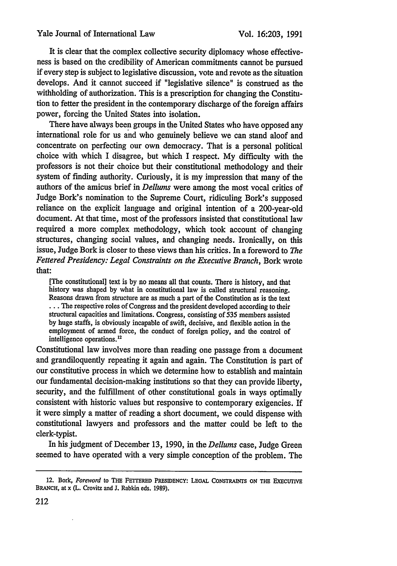It is clear that the complex collective security diplomacy whose effectiveness is based on the credibility of American commitments cannot be pursued if every step is subject to legislative discussion, vote and revote as the situation develops. And it cannot succeed if "legislative silence" is construed as the withholding of authorization. This is a prescription for changing the Constitution to fetter the president in the contemporary discharge of the foreign affairs power, forcing the United States into isolation.

There have always been groups in the United States who have opposed any international role for us and who genuinely believe we can stand aloof and concentrate on perfecting our own democracy. That is a personal political choice with which I disagree, but which I respect. My difficulty with the professors is not their choice but their constitutional methodology and their system of finding authority. Curiously, it is my impression that many of the authors of the amicus brief in *Dellums* were among the most vocal critics of Judge Bork's nomination to the Supreme Court, ridiculing Bork's supposed reliance on the explicit language and original intention of a 200-year-old document. At that time, most of the professors insisted that constitutional law required a more complex methodology, which took account of changing structures, changing social values, and changing needs. Ironically, on this issue, Judge Bork is closer to these views than his critics. In a foreword to *The Fettered Presidency: Legal Constraints on the Executive Branch,* Bork wrote that:

[The constitutional] text is **by** no means all that counts. There is history, and that history was shaped by what in constitutional law is called structural reasoning. Reasons drawn from structure are as much a part of the Constitution as is the text **...** The respective roles of Congress and the president developed according to their structural capacities and limitations. Congress, consisting of 535 members assisted by huge staffs, is obviously incapable of swift, decisive, and flexible action in the employment of armed force, the conduct of foreign policy, and the control of intelligence operations.<sup>12</sup>

Constitutional law involves more than reading one passage from a document and grandiloquently repeating it again and again. The Constitution is part of our constitutive process in which we determine how to establish and maintain our fundamental decision-making institutions so that they can provide liberty, security, and the fulfillment of other constitutional goals in ways optimally consistent with historic values but responsive to contemporary exigencies. If it were simply a matter of reading a short document, we could dispense with constitutional lawyers and professors and the matter could be left to the clerk-typist.

In his judgment of December 13, 1990, in the *Dellums* case, Judge Green seemed to have operated with a very simple conception of the problem. The

<sup>12.</sup> Bork, *Foreword* to THE FETTERED PRESIDENCY: LEGAL CONSTRAINTS ON THE EXECUTIVE **BRANCH, at x (L. Crovitz and J. Rabkin eds. 1989).**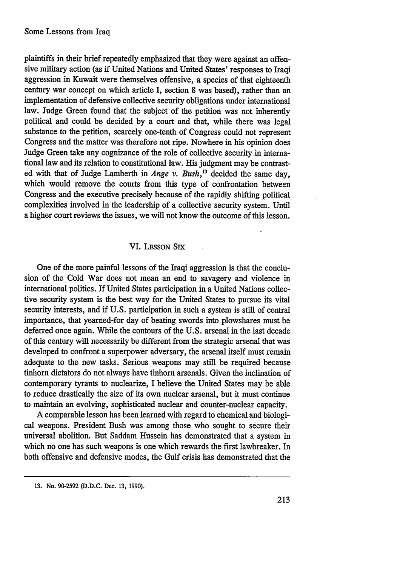plaintiffs in their brief repeatedly emphasized that they were against an offensive military action (as if United Nations and United States' responses to Iraqi aggression in Kuwait were themselves offensive, a species of that eighteenth century war concept on which article I, section 8 was based), rather than an implementation of defensive collective security obligations under international law. Judge Green found that the subject of the petition was not inherently political and could be decided by a court and that, while there was legal substance to the petition, scarcely one-tenth of Congress could not represent Congress and the matter was therefore not ripe. Nowhere in his opinion does Judge Green take any cognizance of the role of collective security. in international law and its relation to constitutional law. His judgment may be contrasted with that of Judge Lamberth in *Ange v. Bush*,<sup>13</sup> decided the same day, which would remove the courts from this type of confrontation between Congress and the executive precisely because of the rapidly shifting political complexities involved in the leadership of a collective security system. Until a higher court reviews the issues, we will not know the outcome of this lesson.

#### VI. LESSON Six

One of the more painful lessons of the Iraqi aggression is that the conclusion of the Cold War does not mean an end to savagery and violence in international politics. If United States participation in a United Nations collective security system is the best way for the United States to pursue its vital security interests, and if U.S. participation in such a system is still of central importance, that yearned-for day of beating swords into plowshares must be deferred once again. While the contours of the U.S. arsenal in the last decade of this century will necessarily be different from the strategic arsenal that was developed to confront a superpower adversary, the arsenal itself must remain adequate to the new tasks. Serious weapons may still be required because tinhorn dictators do not always have tinhorn arsenals. Given the inclination of contemporary tyrants to nuclearize, I believe the United States may be able to reduce drastically the size of its own nuclear arsenal, but it must continue to maintain an evolving, sophisticated nuclear and counter-nuclear capacity.

A comparable lesson has been learned with regard to chemical and biological weapons. President Bush was among those who sought to secure their universal abolition. But Saddam Hussein has demonstrated that a system in which no one has such weapons is one which rewards the first lawbreaker. In both offensive and defensive modes, the Gulf crisis has demonstrated that the

**<sup>13.</sup>** No. 90-2592 **(D.D.C.** Dec. **13, 1990).**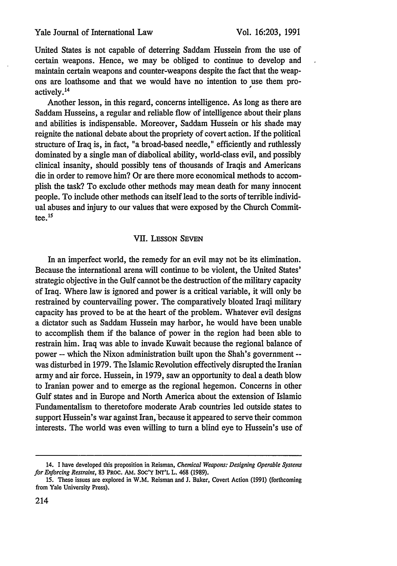United States is not capable of deterring Saddam Hussein from the use of certain weapons. Hence, we may be obliged to continue to develop and maintain certain weapons and counter-weapons despite the fact that the weapons are loathsome and that we would have no intention to use them proactively.1<sup>4</sup>

Another lesson, in this regard, concerns intelligence. As long as there are Saddam Husseins, a regular and reliable flow of intelligence about their plans and abilities is indispensable. Moreover, Saddam Hussein or his shade may reignite the national debate about the propriety of covert action. If the political structure of Iraq is, in fact, "a broad-based needle," efficiently and ruthlessly dominated by a single man of diabolical ability, world-class evil, and possibly clinical insanity, should possibly tens of thousands of Iraqis and Americans die in order to remove him? Or are there more economical methods to accomplish the task? To exclude other methods may mean death for many innocent people. To include other methods can itself lead to the sorts of terrible individual abuses and injury to our values that were exposed by the Church Committee. **<sup>15</sup>**

## VII. LESSON SEVEN

In an imperfect world, the remedy for an evil may not be its elimination. Because the international arena will continue to be violent, the United States' strategic objective in the Gulf cannot be the destruction of the military capacity of Iraq. Where law is ignored and power is a critical variable, it will only be restrained by countervailing power. The comparatively bloated Iraqi military capacity has proved to be at the heart of the problem. Whatever evil designs a dictator such as Saddam Hussein may harbor, he would have been unable to accomplish them if the balance of power in the region had been able to restrain him. Iraq was able to invade Kuwait because the regional balance of power -- which the Nixon administration built upon the Shah's government - was disturbed in 1979. The Islamic Revolution effectively disrupted the Iranian army and air force. Hussein, in 1979, saw an opportunity to deal a death blow to Iranian power and to emerge as the regional hegemon. Concerns in other Gulf states and in Europe and North America about the extension of Islamic Fundamentalism to theretofore moderate Arab countries led outside states to support Hussein's war against Iran,'because it appeared to serve their common interests. The world was even willing to turn a blind eye to Hussein's use of

<sup>14.</sup> I have developed this proposition in Reisman, *Chemical Weapons: Designing Operable Systems for Enforcing Restraint,* **83** PRoc. AM. **SOC'Y** INT'L L. 468 (1989).

<sup>15.</sup> These issues are explored in W.M. Reisman and **J.** Baker, Covert Action **(1991)** (forthcoming from Yale University Press).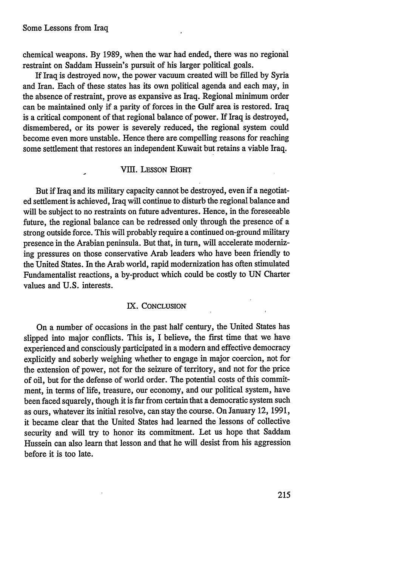chemical weapons. **By** 1989, when the war had ended, there was no regional restraint on Saddam Hussein's pursuit of his larger political goals.

If Iraq is destroyed now, the power vacuum created will be filled by Syria and Iran. Each of these states has its own political agenda and each may, in the absence of restraint, prove as expansive as Iraq. Regional minimum order can be maintained only if a parity of forces in the Gulf area is restored. Iraq is a critical component of that regional balance of power. If Iraq is destroyed, dismembered, or its power is severely reduced, the regional system could become even more unstable. Hence there are compelling reasons for reaching some settlement that restores an independent Kuwait but retains a viable Iraq.

## VIII. LESSON EIGHT

But if Iraq and its military capacity cannot be destroyed, even if a negotiated settlement is achieved, Iraq will continue to disturb the regional balance and will be subject to no restraints on future adventures. Hence, in the foreseeable future, the regional balance can be redressed only through the presence of a strong outside force. This will probably require a continued on-ground military presence in the Arabian peninsula. But that, in turn, will accelerate modernizing pressures on those conservative Arab leaders who have been friendly to the United States. In the Arab world, rapid modernization has often stimulated Fundamentalist reactions, a by-product which could be costly to **UN** Charter values and **U.S.** interests.

#### IX. CONCLUSION

On a number of occasions in the past half century, the United States has slipped into major conflicts. This is, I believe, the first time that we have experienced and consciously participated in a modern and effective democracy explicitly and soberly weighing whether to engage in major coercion, not for the extension of power, not for the seizure of territory, and not for the price of oil, but for the defense of world order. The potential costs of this commitment, in terms of life, treasure, our economy, and our political system, have been faced squarely, though it is far from certain that a democratic system such as ours, whatever its initial resolve, can stay the course. On January 12, 1991, it became clear that the United States had learned the'lessons of collective security and will try to honor its commitment. Let us hope that Saddam Hussein can also learn that lesson and that he will desist from his aggression before it is too late.